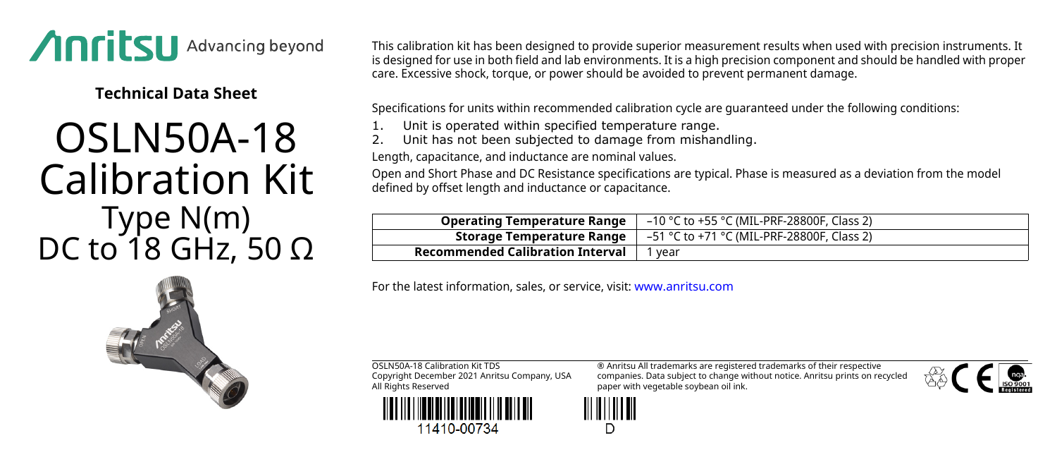

**Technical Data Sheet**

## OSLN50A-18 Calibration Kit Type N(m) DC to 18 GHz, 50 Ω

This calibration kit has been designed to provide superior measurement results when used with precision instruments. It is designed for use in both field and lab environments. It is a high precision component and should be handled with proper care. Excessive shock, torque, or power should be avoided to prevent permanent damage.

Specifications for units within recommended calibration cycle are guaranteed under the following conditions:

- Unit is operated within specified temperature range.
- Unit has not been subjected to damage from mishandling.

Length, capacitance, and inductance are nominal values.

Open and Short Phase and DC Resistance specifications are typical. Phase is measured as a deviation from the model defined by offset length and inductance or capacitance.

| <b>Operating Temperature Range</b>      | –10 °C to +55 °C (MIL-PRF-28800F, Class 2) |
|-----------------------------------------|--------------------------------------------|
| Storage Temperature Range               | –51 °C to +71 °C (MIL-PRF-28800F, Class 2) |
| <b>Recommended Calibration Interval</b> | vear                                       |

For the latest information, sales, or service, visit: [www.anritsu.com](http://www.anritsu.com)

OSLN50A-18 Calibration Kit TDS Copyright December 2021 Anritsu Company, USA All Rights Reserved



11410-00734

® Anritsu All trademarks are registered trademarks of their respective companies. Data subject to change without notice. Anritsu prints on recycled paper with vegetable soybean oil ink.